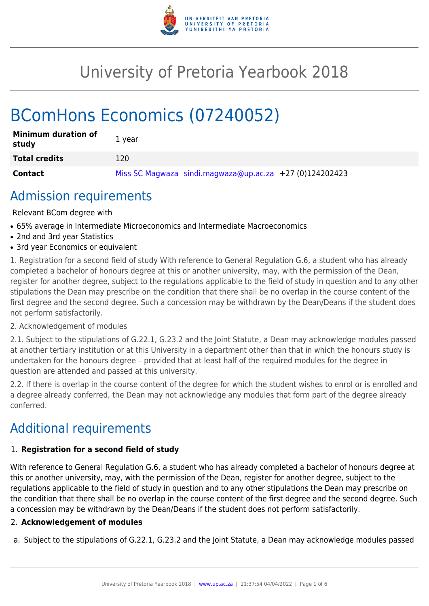

# University of Pretoria Yearbook 2018

# BComHons Economics (07240052)

| <b>Minimum duration of</b><br>study | 1 year                                                    |
|-------------------------------------|-----------------------------------------------------------|
| <b>Total credits</b>                | 120                                                       |
| <b>Contact</b>                      | Miss SC Magwaza sindi.magwaza@up.ac.za $+27$ (0)124202423 |

# Admission requirements

Relevant BCom degree with

- 65% average in Intermediate Microeconomics and Intermediate Macroeconomics
- 2nd and 3rd year Statistics
- 3rd year Economics or equivalent

1. Registration for a second field of study With reference to General Regulation G.6, a student who has already completed a bachelor of honours degree at this or another university, may, with the permission of the Dean, register for another degree, subject to the regulations applicable to the field of study in question and to any other stipulations the Dean may prescribe on the condition that there shall be no overlap in the course content of the first degree and the second degree. Such a concession may be withdrawn by the Dean/Deans if the student does not perform satisfactorily.

### 2. Acknowledgement of modules

2.1. Subject to the stipulations of G.22.1, G.23.2 and the Joint Statute, a Dean may acknowledge modules passed at another tertiary institution or at this University in a department other than that in which the honours study is undertaken for the honours degree – provided that at least half of the required modules for the degree in question are attended and passed at this university.

2.2. If there is overlap in the course content of the degree for which the student wishes to enrol or is enrolled and a degree already conferred, the Dean may not acknowledge any modules that form part of the degree already conferred.

# Additional requirements

# 1. **Registration for a second field of study**

With reference to General Regulation G.6, a student who has already completed a bachelor of honours degree at this or another university, may, with the permission of the Dean, register for another degree, subject to the regulations applicable to the field of study in question and to any other stipulations the Dean may prescribe on the condition that there shall be no overlap in the course content of the first degree and the second degree. Such a concession may be withdrawn by the Dean/Deans if the student does not perform satisfactorily.

# 2. **Acknowledgement of modules**

a. Subject to the stipulations of G.22.1, G.23.2 and the Joint Statute, a Dean may acknowledge modules passed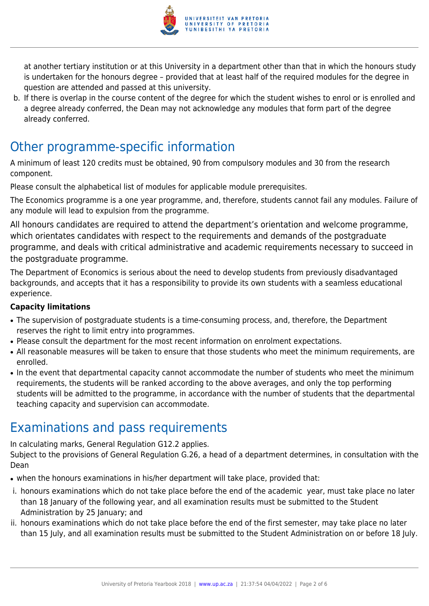

at another tertiary institution or at this University in a department other than that in which the honours study is undertaken for the honours degree – provided that at least half of the required modules for the degree in question are attended and passed at this university.

b. If there is overlap in the course content of the degree for which the student wishes to enrol or is enrolled and a degree already conferred, the Dean may not acknowledge any modules that form part of the degree already conferred.

# Other programme-specific information

A minimum of least 120 credits must be obtained, 90 from compulsory modules and 30 from the research component.

Please consult the alphabetical list of modules for applicable module prerequisites.

The Economics programme is a one year programme, and, therefore, students cannot fail any modules. Failure of any module will lead to expulsion from the programme.

All honours candidates are required to attend the department's orientation and welcome programme, which orientates candidates with respect to the requirements and demands of the postgraduate programme, and deals with critical administrative and academic requirements necessary to succeed in the postgraduate programme.

The Department of Economics is serious about the need to develop students from previously disadvantaged backgrounds, and accepts that it has a responsibility to provide its own students with a seamless educational experience.

# **Capacity limitations**

- The supervision of postgraduate students is a time-consuming process, and, therefore, the Department reserves the right to limit entry into programmes.
- Please consult the department for the most recent information on enrolment expectations.
- All reasonable measures will be taken to ensure that those students who meet the minimum requirements, are enrolled.
- In the event that departmental capacity cannot accommodate the number of students who meet the minimum requirements, the students will be ranked according to the above averages, and only the top performing students will be admitted to the programme, in accordance with the number of students that the departmental teaching capacity and supervision can accommodate.

# Examinations and pass requirements

In calculating marks, General Regulation G12.2 applies.

Subject to the provisions of General Regulation G.26, a head of a department determines, in consultation with the Dean

- when the honours examinations in his/her department will take place, provided that:
- i. honours examinations which do not take place before the end of the academic year, must take place no later than 18 January of the following year, and all examination results must be submitted to the Student Administration by 25 January; and
- ii. honours examinations which do not take place before the end of the first semester, may take place no later than 15 July, and all examination results must be submitted to the Student Administration on or before 18 July.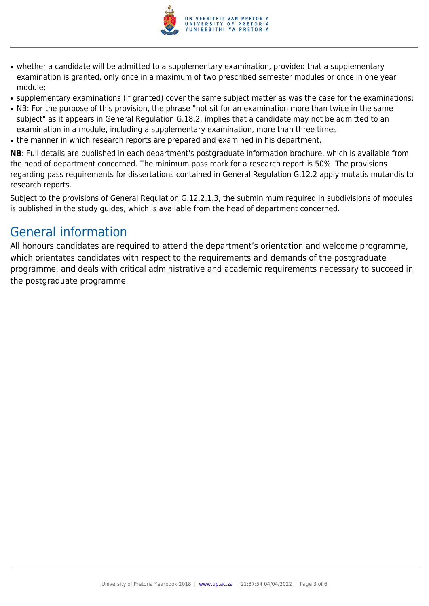

- whether a candidate will be admitted to a supplementary examination, provided that a supplementary examination is granted, only once in a maximum of two prescribed semester modules or once in one year module;
- supplementary examinations (if granted) cover the same subject matter as was the case for the examinations;
- NB: For the purpose of this provision, the phrase "not sit for an examination more than twice in the same subject" as it appears in General Regulation G.18.2, implies that a candidate may not be admitted to an examination in a module, including a supplementary examination, more than three times.
- the manner in which research reports are prepared and examined in his department.

**NB**: Full details are published in each department's postgraduate information brochure, which is available from the head of department concerned. The minimum pass mark for a research report is 50%. The provisions regarding pass requirements for dissertations contained in General Regulation G.12.2 apply mutatis mutandis to research reports.

Subject to the provisions of General Regulation G.12.2.1.3, the subminimum required in subdivisions of modules is published in the study guides, which is available from the head of department concerned.

# General information

All honours candidates are required to attend the department's orientation and welcome programme, which orientates candidates with respect to the requirements and demands of the postgraduate programme, and deals with critical administrative and academic requirements necessary to succeed in the postgraduate programme.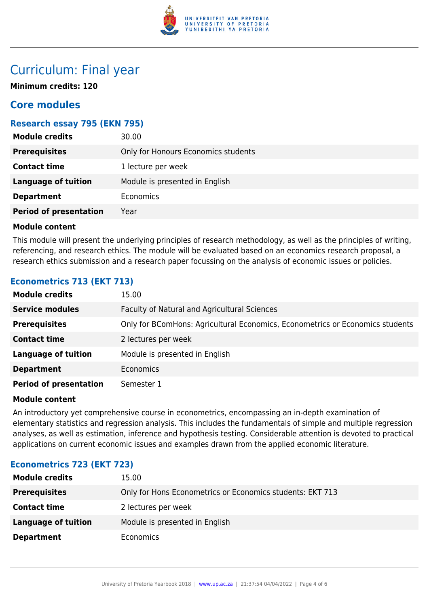

# Curriculum: Final year

**Minimum credits: 120**

# **Core modules**

## **Research essay 795 (EKN 795)**

| <b>Module credits</b>         | 30.00                               |
|-------------------------------|-------------------------------------|
| <b>Prerequisites</b>          | Only for Honours Economics students |
| <b>Contact time</b>           | 1 lecture per week                  |
| <b>Language of tuition</b>    | Module is presented in English      |
| <b>Department</b>             | Economics                           |
| <b>Period of presentation</b> | Year                                |
|                               |                                     |

### **Module content**

This module will present the underlying principles of research methodology, as well as the principles of writing, referencing, and research ethics. The module will be evaluated based on an economics research proposal, a research ethics submission and a research paper focussing on the analysis of economic issues or policies.

# **Econometrics 713 (EKT 713)**

| <b>Module credits</b>         | 15.00                                                                         |
|-------------------------------|-------------------------------------------------------------------------------|
| <b>Service modules</b>        | Faculty of Natural and Agricultural Sciences                                  |
| <b>Prerequisites</b>          | Only for BComHons: Agricultural Economics, Econometrics or Economics students |
| <b>Contact time</b>           | 2 lectures per week                                                           |
| <b>Language of tuition</b>    | Module is presented in English                                                |
| <b>Department</b>             | <b>Economics</b>                                                              |
| <b>Period of presentation</b> | Semester 1                                                                    |

### **Module content**

An introductory yet comprehensive course in econometrics, encompassing an in-depth examination of elementary statistics and regression analysis. This includes the fundamentals of simple and multiple regression analyses, as well as estimation, inference and hypothesis testing. Considerable attention is devoted to practical applications on current economic issues and examples drawn from the applied economic literature.

### **Econometrics 723 (EKT 723)**

| <b>Module credits</b>      | 15.00                                                     |
|----------------------------|-----------------------------------------------------------|
| <b>Prerequisites</b>       | Only for Hons Econometrics or Economics students: EKT 713 |
| <b>Contact time</b>        | 2 lectures per week                                       |
| <b>Language of tuition</b> | Module is presented in English                            |
| <b>Department</b>          | <b>Economics</b>                                          |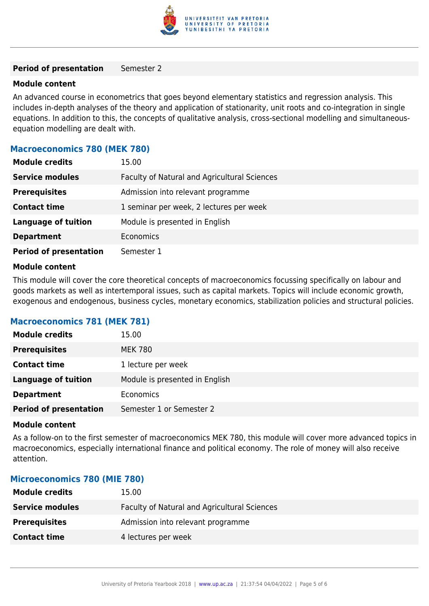

#### **Period of presentation** Semester 2

#### **Module content**

An advanced course in econometrics that goes beyond elementary statistics and regression analysis. This includes in-depth analyses of the theory and application of stationarity, unit roots and co-integration in single equations. In addition to this, the concepts of qualitative analysis, cross-sectional modelling and simultaneousequation modelling are dealt with.

### **Macroeconomics 780 (MEK 780)**

| <b>Module credits</b>         | 15.00                                        |
|-------------------------------|----------------------------------------------|
| <b>Service modules</b>        | Faculty of Natural and Agricultural Sciences |
| <b>Prerequisites</b>          | Admission into relevant programme            |
| <b>Contact time</b>           | 1 seminar per week, 2 lectures per week      |
| <b>Language of tuition</b>    | Module is presented in English               |
| <b>Department</b>             | <b>Economics</b>                             |
| <b>Period of presentation</b> | Semester 1                                   |

#### **Module content**

This module will cover the core theoretical concepts of macroeconomics focussing specifically on labour and goods markets as well as intertemporal issues, such as capital markets. Topics will include economic growth, exogenous and endogenous, business cycles, monetary economics, stabilization policies and structural policies.

### **Macroeconomics 781 (MEK 781)**

| <b>Module credits</b>         | 15.00                          |
|-------------------------------|--------------------------------|
| <b>Prerequisites</b>          | <b>MEK 780</b>                 |
| <b>Contact time</b>           | 1 lecture per week             |
| <b>Language of tuition</b>    | Module is presented in English |
| <b>Department</b>             | Economics                      |
| <b>Period of presentation</b> | Semester 1 or Semester 2       |

#### **Module content**

As a follow-on to the first semester of macroeconomics MEK 780, this module will cover more advanced topics in macroeconomics, especially international finance and political economy. The role of money will also receive attention.

#### **Microeconomics 780 (MIE 780)**

| <b>Module credits</b>  | 15.00                                        |
|------------------------|----------------------------------------------|
| <b>Service modules</b> | Faculty of Natural and Agricultural Sciences |
| <b>Prerequisites</b>   | Admission into relevant programme            |
| <b>Contact time</b>    | 4 lectures per week                          |